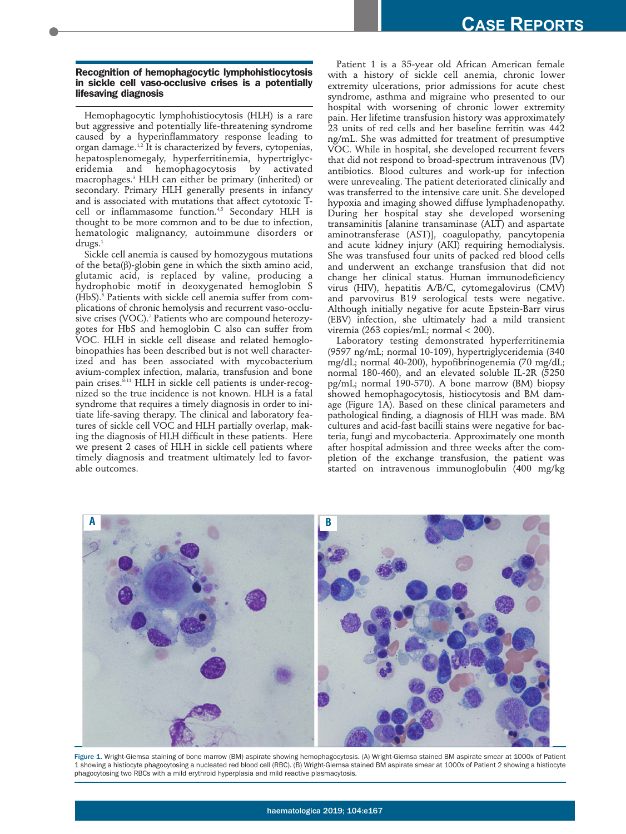## **Recognition of hemophagocytic lymphohistiocytosis in sickle cell vaso-occlusive crises is a potentially lifesaving diagnosis**

Hemophagocytic lymphohistiocytosis (HLH) is a rare but aggressive and potentially life-threatening syndrome caused by a hyperinflammatory response leading to organ damage.<sup>1,2</sup> It is characterized by fevers, cytopenias, hepatosplenomegaly, hyperferritinemia, hypertriglyceridemia and hemophagocytosis by activated macrophages.3 HLH can either be primary (inherited) or secondary. Primary HLH generally presents in infancy and is associated with mutations that affect cytotoxic Tcell or inflammasome function.<sup>4,5</sup> Secondary HLH is thought to be more common and to be due to infection, hematologic malignancy, autoimmune disorders or  $drugs.<sup>1</sup>$ 

Sickle cell anemia is caused by homozygous mutations of the beta(β)-globin gene in which the sixth amino acid, glutamic acid, is replaced by valine, producing a hydrophobic motif in deoxygenated hemoglobin S (HbS).6 Patients with sickle cell anemia suffer from complications of chronic hemolysis and recurrent vaso-occlusive crises (VOC).<sup>7</sup> Patients who are compound heterozygotes for HbS and hemoglobin C also can suffer from VOC. HLH in sickle cell disease and related hemoglobinopathies has been described but is not well characterized and has been associated with mycobacterium avium-complex infection, malaria, transfusion and bone pain crises.<sup>8-11</sup> HLH in sickle cell patients is under-recognized so the true incidence is not known. HLH is a fatal syndrome that requires a timely diagnosis in order to initiate life-saving therapy. The clinical and laboratory features of sickle cell VOC and HLH partially overlap, making the diagnosis of HLH difficult in these patients. Here we present 2 cases of HLH in sickle cell patients where timely diagnosis and treatment ultimately led to favorable outcomes.

Patient 1 is a 35-year old African American female with a history of sickle cell anemia, chronic lower extremity ulcerations, prior admissions for acute chest syndrome, asthma and migraine who presented to our hospital with worsening of chronic lower extremity pain. Her lifetime transfusion history was approximately 23 units of red cells and her baseline ferritin was 442 ng/mL. She was admitted for treatment of presumptive VOC. While in hospital, she developed recurrent fevers that did not respond to broad-spectrum intravenous (IV) antibiotics. Blood cultures and work-up for infection were unrevealing. The patient deteriorated clinically and was transferred to the intensive care unit. She developed hypoxia and imaging showed diffuse lymphadenopathy. During her hospital stay she developed worsening transaminitis [alanine transaminase (ALT) and aspartate aminotransferase (AST)], coagulopathy, pancytopenia and acute kidney injury (AKI) requiring hemodialysis. She was transfused four units of packed red blood cells and underwent an exchange transfusion that did not change her clinical status. Human immunodeficiency virus (HIV), hepatitis A/B/C, cytomegalovirus (CMV) and parvovirus B19 serological tests were negative. Although initially negative for acute Epstein-Barr virus (EBV) infection, she ultimately had a mild transient viremia (263 copies/mL; normal < 200).

Laboratory testing demonstrated hyperferritinemia (9597 ng/mL; normal 10-109), hypertriglyceridemia (340 mg/dL; normal 40-200), hypofibrinogenemia (70 mg/dL; normal 180-460), and an elevated soluble IL-2R (5250 pg/mL; normal 190-570). A bone marrow (BM) biopsy showed hemophagocytosis, histiocytosis and BM damage (Figure 1A). Based on these clinical parameters and pathological finding, a diagnosis of HLH was made. BM cultures and acid-fast bacilli stains were negative for bacteria, fungi and mycobacteria. Approximately one month after hospital admission and three weeks after the completion of the exchange transfusion, the patient was started on intravenous immunoglobulin (400 mg/kg



Figure 1. Wright-Giemsa staining of bone marrow (BM) aspirate showing hemophagocytosis. (A) Wright-Giemsa stained BM aspirate smear at 1000x of Patient 1 showing a histiocyte phagocytosing a nucleated red blood cell (RBC). (B) Wright-Giemsa stained BM aspirate smear at 1000x of Patient 2 showing a histiocyte phagocytosing two RBCs with a mild erythroid hyperplasia and mild reactive plasmacytosis.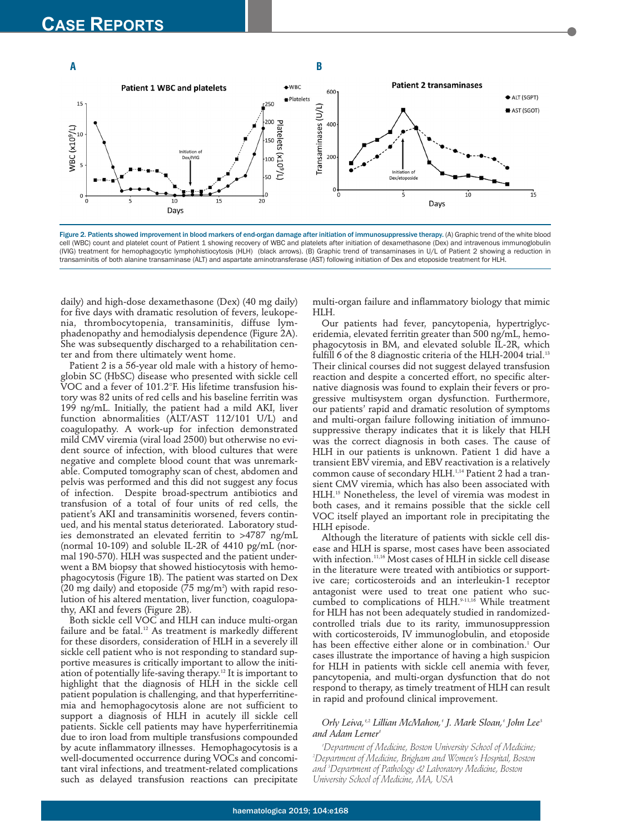

Figure 2. Patients showed improvement in blood markers of end-organ damage after initiation of immunosuppressive therapy. (A) Graphic trend of the white blood cell (WBC) count and platelet count of Patient 1 showing recovery of WBC and platelets after initiation of dexamethasone (Dex) and intravenous immunoglobulin (IVIG) treatment for hemophagocytic lymphohistiocytosis (HLH) (black arrows). (B) Graphic trend of transaminases in U/L of Patient 2 showing a reduction in transaminitis of both alanine transaminase (ALT) and aspartate aminotransferase (AST) following initiation of Dex and etoposide treatment for HLH.

daily) and high-dose dexamethasone (Dex) (40 mg daily) for five days with dramatic resolution of fevers, leukopenia, thrombocytopenia, transaminitis, diffuse lymphadenopathy and hemodialysis dependence (Figure 2A). She was subsequently discharged to a rehabilitation center and from there ultimately went home.

Patient 2 is a 56-year old male with a history of hemoglobin SC (HbSC) disease who presented with sickle cell VOC and a fever of 101.2°F. His lifetime transfusion history was 82 units of red cells and his baseline ferritin was 199 ng/mL. Initially, the patient had a mild AKI, liver function abnormalities (ALT/AST 112/101 U/L) and coagulopathy. A work-up for infection demonstrated mild CMV viremia (viral load 2500) but otherwise no evident source of infection, with blood cultures that were negative and complete blood count that was unremarkable. Computed tomography scan of chest, abdomen and pelvis was performed and this did not suggest any focus of infection. Despite broad-spectrum antibiotics and transfusion of a total of four units of red cells, the patient's AKI and transaminitis worsened, fevers continued, and his mental status deteriorated. Laboratory studies demonstrated an elevated ferritin to >4787 ng/mL (normal 10-109) and soluble IL-2R of 4410 pg/mL (normal 190-570). HLH was suspected and the patient underwent a BM biopsy that showed histiocytosis with hemophagocytosis (Figure 1B). The patient was started on Dex  $(20 \text{ mg daily})$  and etoposide  $(75 \text{ mg/m}^2)$  with rapid resolution of his altered mentation, liver function, coagulopathy, AKI and fevers (Figure 2B).

Both sickle cell VOC and HLH can induce multi-organ failure and be fatal.<sup>12</sup> As treatment is markedly different for these disorders, consideration of HLH in a severely ill sickle cell patient who is not responding to standard supportive measures is critically important to allow the initiation of potentially life-saving therapy.12 It is important to highlight that the diagnosis of HLH in the sickle cell patient population is challenging, and that hyperferritinemia and hemophagocytosis alone are not sufficient to support a diagnosis of HLH in acutely ill sickle cell patients. Sickle cell patients may have hyperferritinemia due to iron load from multiple transfusions compounded by acute inflammatory illnesses. Hemophagocytosis is a well-documented occurrence during VOCs and concomitant viral infections, and treatment-related complications such as delayed transfusion reactions can precipitate

multi-organ failure and inflammatory biology that mimic HLH.

Our patients had fever, pancytopenia, hypertriglyceridemia, elevated ferritin greater than 500 ng/mL, hemophagocytosis in BM, and elevated soluble IL-2R, which fulfill 6 of the 8 diagnostic criteria of the HLH-2004 trial.<sup>13</sup> Their clinical courses did not suggest delayed transfusion reaction and despite a concerted effort, no specific alternative diagnosis was found to explain their fevers or progressive multisystem organ dysfunction. Furthermore, our patients' rapid and dramatic resolution of symptoms and multi-organ failure following initiation of immunosuppressive therapy indicates that it is likely that HLH was the correct diagnosis in both cases. The cause of HLH in our patients is unknown. Patient 1 did have a transient EBV viremia, and EBV reactivation is a relatively common cause of secondary HLH.1,14 Patient 2 had a transient CMV viremia, which has also been associated with HLH.15 Nonetheless, the level of viremia was modest in both cases, and it remains possible that the sickle cell VOC itself played an important role in precipitating the HLH episode.

Although the literature of patients with sickle cell disease and HLH is sparse, most cases have been associated with infection.11,16 Most cases of HLH in sickle cell disease in the literature were treated with antibiotics or supportive care; corticosteroids and an interleukin-1 receptor antagonist were used to treat one patient who succumbed to complications of HLH.<sup>9-11,16</sup> While treatment for HLH has not been adequately studied in randomizedcontrolled trials due to its rarity, immunosuppression with corticosteroids, IV immunoglobulin, and etoposide has been effective either alone or in combination.<sup>1</sup> Our cases illustrate the importance of having a high suspicion for HLH in patients with sickle cell anemia with fever, pancytopenia, and multi-organ dysfunction that do not respond to therapy, as timely treatment of HLH can result in rapid and profound clinical improvement.

## *Orly Leiva,1,2 Lillian McMahon,1 J. Mark Sloan,1 John Lee3* and Adam Lerner<sup>4</sup>

*1 Department of Medicine, Boston University School of Medicine; 2 Department of Medicine, Brigham and Women's Hospital, Boston and 3 Department of Pathology & Laboratory Medicine, Boston University School of Medicine, MA, USA*